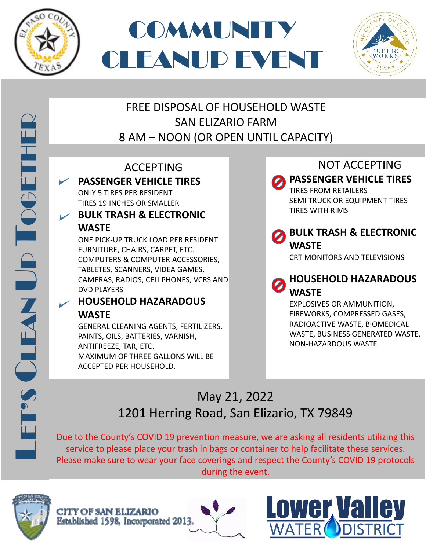





### FREE DISPOSAL OF HOUSEHOLD WASTE SAN ELIZARIO FARM 8 AM – NOON (OR OPEN UNTIL CAPACITY)

### ACCEPTING **PASSENGER VEHICLE TIRES**

ONLY 5 TIRES PER RESIDENT TIRES 19 INCHES OR SMALLER

### **BULK TRASH & ELECTRONIC WASTE**

ONE PICK-UP TRUCK LOAD PER RESIDENT FURNITURE, CHAIRS, CARPET, ETC. COMPUTERS & COMPUTER ACCESSORIES, TABLETES, SCANNERS, VIDEA GAMES, CAMERAS, RADIOS, CELLPHONES, VCRS AND DVD PLAYERS

### **HOUSEHOLD HAZARADOUS WASTE**

GENERAL CLEANING AGENTS, FERTILIZERS, PAINTS, OILS, BATTERIES, VARNISH, ANTIFREEZE, TAR, ETC. MAXIMUM OF THREE GALLONS WILL BE ACCEPTED PER HOUSEHOLD.

NOT ACCEPTING

**PASSENGER VEHICLE TIRES**

TIRES FROM RETAILERS SEMI TRUCK OR EQUIPMENT TIRES TIRES WITH RIMS

### **BULK TRASH & ELECTRONIC WASTE**

CRT MONITORS AND TELEVISIONS

### **HOUSEHOLD HAZARADOUS WASTE**

EXPLOSIVES OR AMMUNITION, FIREWORKS, COMPRESSED GASES, RADIOACTIVE WASTE, BIOMEDICAL WASTE, BUSINESS GENERATED WASTE, NON-HAZARDOUS WASTE

# May 21, 2022 1201 Herring Road, San Elizario, TX 79849

Due to the County's COVID 19 prevention measure, we are asking all residents utilizing this service to please place your trash in bags or container to help facilitate these services. Please make sure to wear your face coverings and respect the County's COVID 19 protocols during the event.